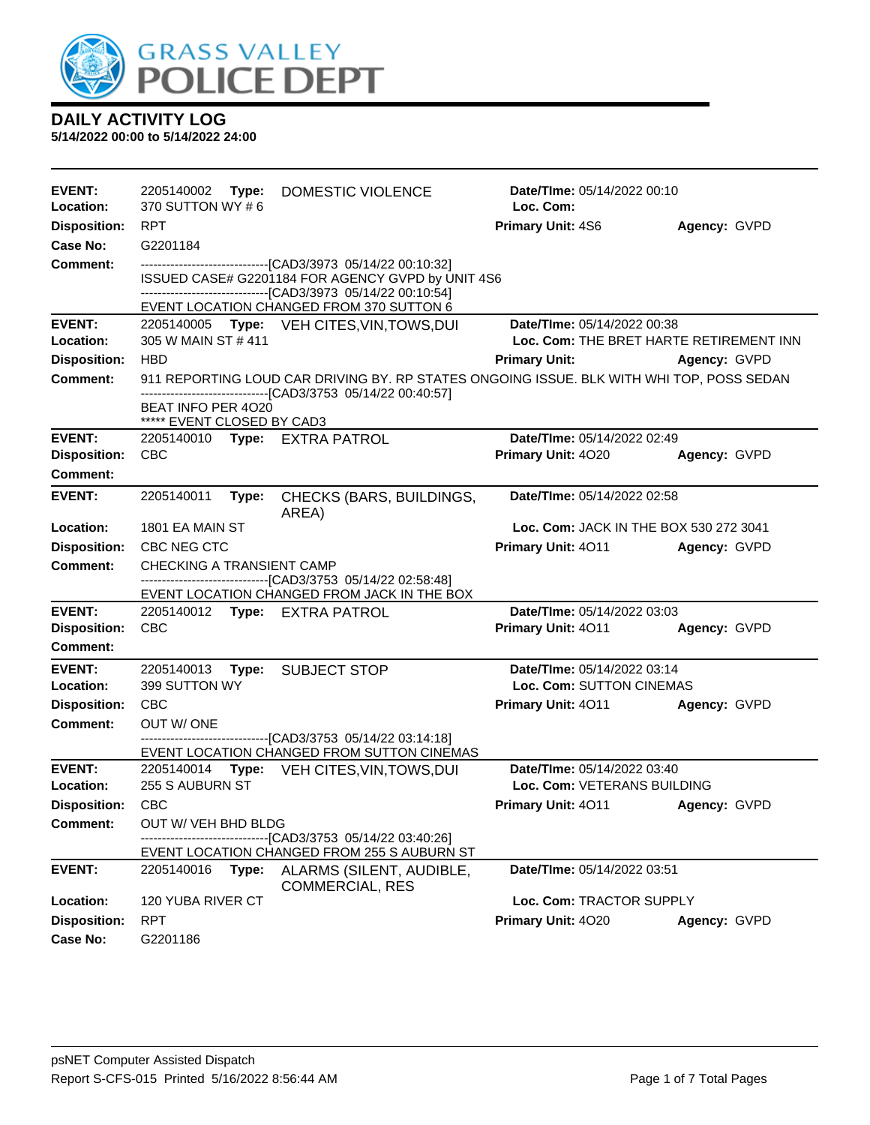

| EVENT:<br>Location:        | 370 SUTTON WY #6                                              | Date/TIme: 05/14/2022 00:10<br>2205140002 Type: DOMESTIC VIOLENCE<br>Loc. Com:                                                                                                    |                                                                                          |              |  |
|----------------------------|---------------------------------------------------------------|-----------------------------------------------------------------------------------------------------------------------------------------------------------------------------------|------------------------------------------------------------------------------------------|--------------|--|
| <b>Disposition:</b>        | <b>RPT</b>                                                    |                                                                                                                                                                                   | <b>Primary Unit: 4S6</b>                                                                 | Agency: GVPD |  |
| Case No:                   | G2201184                                                      |                                                                                                                                                                                   |                                                                                          |              |  |
| <b>Comment:</b>            |                                                               | -------------------------------[CAD3/3973 05/14/22 00:10:32]<br>ISSUED CASE# G2201184 FOR AGENCY GVPD by UNIT 4S6<br>-------------------------------[CAD3/3973 05/14/22 00:10:54] |                                                                                          |              |  |
|                            |                                                               | EVENT LOCATION CHANGED FROM 370 SUTTON 6                                                                                                                                          |                                                                                          |              |  |
| <b>EVENT:</b>              |                                                               | 2205140005 Type: VEH CITES, VIN, TOWS, DUI                                                                                                                                        | Date/TIme: 05/14/2022 00:38                                                              |              |  |
| Location:                  | 305 W MAIN ST #411                                            |                                                                                                                                                                                   | Loc. Com: THE BRET HARTE RETIREMENT INN                                                  |              |  |
| <b>Disposition:</b>        | <b>HBD</b>                                                    |                                                                                                                                                                                   | <b>Primary Unit:</b>                                                                     | Agency: GVPD |  |
| Comment:                   |                                                               | -------------------------------[CAD3/3753 05/14/22 00:40:57]                                                                                                                      | 911 REPORTING LOUD CAR DRIVING BY. RP STATES ONGOING ISSUE. BLK WITH WHI TOP, POSS SEDAN |              |  |
|                            | BEAT INFO PER 4020<br>***** EVENT CLOSED BY CAD3              |                                                                                                                                                                                   |                                                                                          |              |  |
| <b>EVENT:</b>              | 2205140010 Type: EXTRA PATROL                                 |                                                                                                                                                                                   | Date/TIme: 05/14/2022 02:49                                                              |              |  |
| <b>Disposition:</b>        | <b>CBC</b>                                                    |                                                                                                                                                                                   | Primary Unit: 4020                                                                       | Agency: GVPD |  |
| <b>Comment:</b>            |                                                               |                                                                                                                                                                                   |                                                                                          |              |  |
| <b>EVENT:</b>              | 2205140011<br>Type:                                           | CHECKS (BARS, BUILDINGS,<br>AREA)                                                                                                                                                 | Date/TIme: 05/14/2022 02:58                                                              |              |  |
| Location:                  | 1801 EA MAIN ST                                               |                                                                                                                                                                                   | <b>Loc. Com: JACK IN THE BOX 530 272 3041</b>                                            |              |  |
| <b>Disposition:</b>        | CBC NEG CTC                                                   |                                                                                                                                                                                   | Primary Unit: 4011 Agency: GVPD                                                          |              |  |
| Comment:                   | CHECKING A TRANSIENT CAMP                                     |                                                                                                                                                                                   |                                                                                          |              |  |
|                            |                                                               | --------------------------------[CAD3/3753 05/14/22 02:58:48]<br>EVENT LOCATION CHANGED FROM JACK IN THE BOX                                                                      |                                                                                          |              |  |
| <b>EVENT:</b>              | 2205140012 Type: EXTRA PATROL                                 |                                                                                                                                                                                   | Date/TIme: 05/14/2022 03:03                                                              |              |  |
| <b>Disposition:</b>        | <b>CBC</b>                                                    |                                                                                                                                                                                   | Primary Unit: 4011                                                                       | Agency: GVPD |  |
| Comment:                   |                                                               |                                                                                                                                                                                   |                                                                                          |              |  |
| <b>EVENT:</b><br>Location: | 2205140013 Type:<br>399 SUTTON WY                             | <b>SUBJECT STOP</b>                                                                                                                                                               | Date/TIme: 05/14/2022 03:14<br>Loc. Com: SUTTON CINEMAS                                  |              |  |
| <b>Disposition:</b>        | <b>CBC</b>                                                    |                                                                                                                                                                                   | <b>Primary Unit: 4011</b>                                                                | Agency: GVPD |  |
| <b>Comment:</b>            | OUT W/ONE                                                     |                                                                                                                                                                                   |                                                                                          |              |  |
|                            | --------------------------------[CAD3/3753 05/14/22 03:14:18] |                                                                                                                                                                                   |                                                                                          |              |  |
|                            |                                                               | EVENT LOCATION CHANGED FROM SUTTON CINEMAS                                                                                                                                        |                                                                                          |              |  |
| <b>EVENT:</b><br>Location: | 255 S AUBURN ST                                               | 2205140014 Type: VEH CITES, VIN, TOWS, DUI                                                                                                                                        | Date/TIme: 05/14/2022 03:40<br>Loc. Com: VETERANS BUILDING                               |              |  |
| <b>Disposition:</b>        | <b>CBC</b>                                                    |                                                                                                                                                                                   | <b>Primary Unit: 4011</b>                                                                | Agency: GVPD |  |
| <b>Comment:</b>            | OUT W/ VEH BHD BLDG                                           |                                                                                                                                                                                   |                                                                                          |              |  |
|                            |                                                               | --[CAD3/3753_05/14/22_03:40:26]<br>EVENT LOCATION CHANGED FROM 255 S AUBURN ST                                                                                                    |                                                                                          |              |  |
| <b>EVENT:</b>              | 2205140016<br>Type:                                           | ALARMS (SILENT, AUDIBLE,<br><b>COMMERCIAL, RES</b>                                                                                                                                | Date/TIme: 05/14/2022 03:51                                                              |              |  |
| Location:                  | 120 YUBA RIVER CT                                             |                                                                                                                                                                                   | Loc. Com: TRACTOR SUPPLY                                                                 |              |  |
| <b>Disposition:</b>        | <b>RPT</b>                                                    |                                                                                                                                                                                   | Primary Unit: 4020                                                                       | Agency: GVPD |  |
| Case No:                   | G2201186                                                      |                                                                                                                                                                                   |                                                                                          |              |  |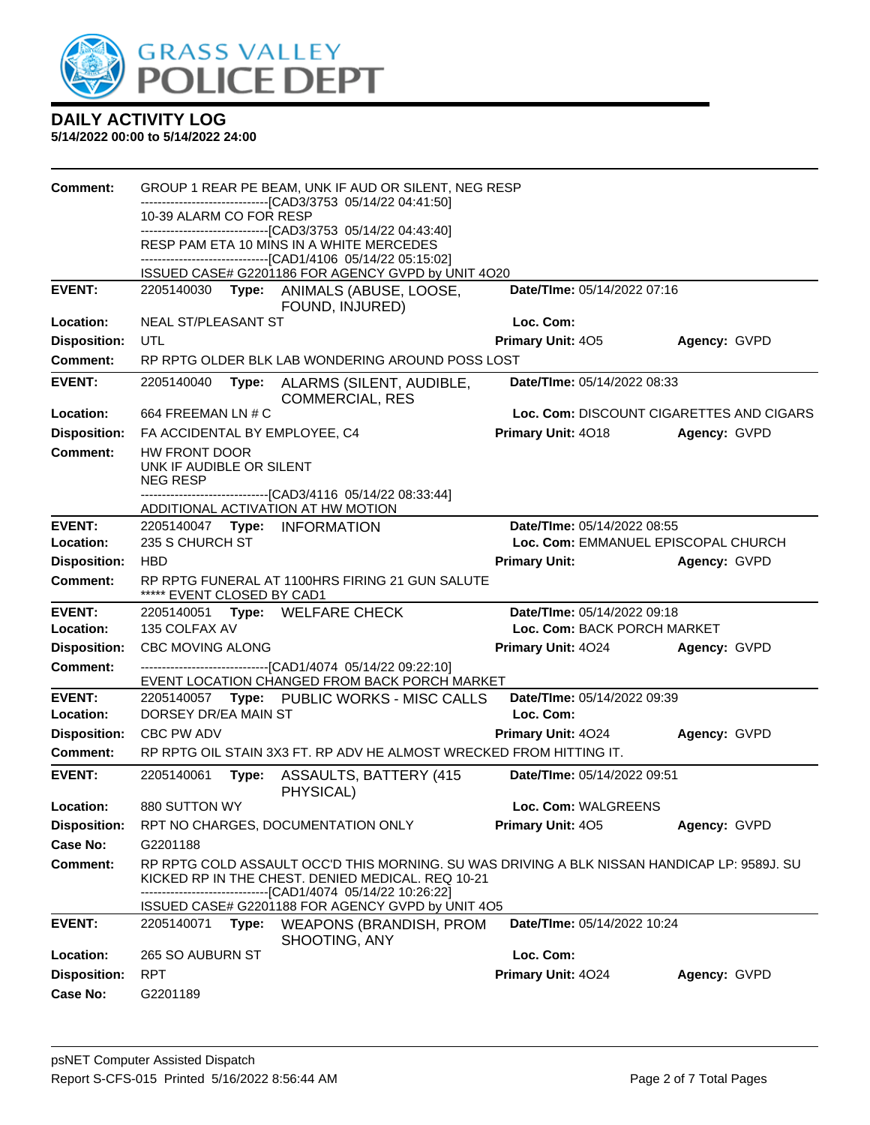

| <b>Comment:</b>     |                                                               |       | GROUP 1 REAR PE BEAM, UNK IF AUD OR SILENT, NEG RESP                                                                                             |                             |                                          |
|---------------------|---------------------------------------------------------------|-------|--------------------------------------------------------------------------------------------------------------------------------------------------|-----------------------------|------------------------------------------|
|                     | 10-39 ALARM CO FOR RESP                                       |       | --------------------------------[CAD3/3753 05/14/22 04:41:50]                                                                                    |                             |                                          |
|                     |                                                               |       | -------------------------------[CAD3/3753 05/14/22 04:43:40]                                                                                     |                             |                                          |
|                     |                                                               |       | RESP PAM ETA 10 MINS IN A WHITE MERCEDES<br>--------------------------------[CAD1/4106 05/14/22 05:15:02]                                        |                             |                                          |
|                     |                                                               |       | ISSUED CASE# G2201186 FOR AGENCY GVPD by UNIT 4O20                                                                                               |                             |                                          |
| <b>EVENT:</b>       |                                                               |       | 2205140030 Type: ANIMALS (ABUSE, LOOSE,<br>FOUND, INJURED)                                                                                       | Date/TIme: 05/14/2022 07:16 |                                          |
| Location:           | NEAL ST/PLEASANT ST                                           |       |                                                                                                                                                  | Loc. Com:                   |                                          |
| <b>Disposition:</b> | UTL                                                           |       |                                                                                                                                                  | Primary Unit: 405           | Agency: GVPD                             |
| Comment:            |                                                               |       | RP RPTG OLDER BLK LAB WONDERING AROUND POSS LOST                                                                                                 |                             |                                          |
| <b>EVENT:</b>       | 2205140040                                                    | Type: | ALARMS (SILENT, AUDIBLE,<br><b>COMMERCIAL, RES</b>                                                                                               | Date/TIme: 05/14/2022 08:33 |                                          |
| Location:           | 664 FREEMAN LN # C                                            |       |                                                                                                                                                  |                             | Loc. Com: DISCOUNT CIGARETTES AND CIGARS |
| <b>Disposition:</b> | FA ACCIDENTAL BY EMPLOYEE, C4                                 |       |                                                                                                                                                  | Primary Unit: 4018          | Agency: GVPD                             |
| <b>Comment:</b>     | HW FRONT DOOR<br>UNK IF AUDIBLE OR SILENT<br><b>NEG RESP</b>  |       |                                                                                                                                                  |                             |                                          |
|                     |                                                               |       | --------------------------------[CAD3/4116 05/14/22 08:33:44]<br>ADDITIONAL ACTIVATION AT HW MOTION                                              |                             |                                          |
| <b>EVENT:</b>       |                                                               |       | 2205140047 Type: INFORMATION                                                                                                                     | Date/TIme: 05/14/2022 08:55 |                                          |
| Location:           | 235 S CHURCH ST<br>Loc. Com: EMMANUEL EPISCOPAL CHURCH        |       |                                                                                                                                                  |                             |                                          |
| <b>Disposition:</b> | <b>HBD</b>                                                    |       |                                                                                                                                                  | <b>Primary Unit:</b>        | Agency: GVPD                             |
| Comment:            | ***** EVENT CLOSED BY CAD1                                    |       | RP RPTG FUNERAL AT 1100HRS FIRING 21 GUN SALUTE                                                                                                  |                             |                                          |
| <b>EVENT:</b>       | Date/TIme: 05/14/2022 09:18<br>2205140051 Type: WELFARE CHECK |       |                                                                                                                                                  |                             |                                          |
| Location:           | 135 COLFAX AV                                                 |       |                                                                                                                                                  | Loc. Com: BACK PORCH MARKET |                                          |
| <b>Disposition:</b> | CBC MOVING ALONG                                              |       |                                                                                                                                                  | <b>Primary Unit: 4024</b>   | Agency: GVPD                             |
| Comment:            |                                                               |       | -------------------------------[CAD1/4074 05/14/22 09:22:10]<br>EVENT LOCATION CHANGED FROM BACK PORCH MARKET                                    |                             |                                          |
| <b>EVENT:</b>       | 2205140057                                                    |       |                                                                                                                                                  |                             |                                          |
| Location:           |                                                               |       | Type: PUBLIC WORKS - MISC CALLS                                                                                                                  | Date/TIme: 05/14/2022 09:39 |                                          |
|                     | DORSEY DR/EA MAIN ST                                          |       |                                                                                                                                                  | Loc. Com:                   |                                          |
| <b>Disposition:</b> | CBC PW ADV                                                    |       |                                                                                                                                                  | Primary Unit: 4024          | Agency: GVPD                             |
| Comment:            |                                                               |       | RP RPTG OIL STAIN 3X3 FT. RP ADV HE ALMOST WRECKED FROM HITTING IT.                                                                              |                             |                                          |
| <b>EVENT:</b>       | 2205140061                                                    | Type: | <b>ASSAULTS, BATTERY (415)</b><br>PHYSICAL)                                                                                                      | Date/TIme: 05/14/2022 09:51 |                                          |
| Location:           | 880 SUTTON WY                                                 |       |                                                                                                                                                  | Loc. Com: WALGREENS         |                                          |
| <b>Disposition:</b> |                                                               |       | RPT NO CHARGES, DOCUMENTATION ONLY                                                                                                               | Primary Unit: 405           | Agency: GVPD                             |
| <b>Case No:</b>     | G2201188                                                      |       |                                                                                                                                                  |                             |                                          |
| Comment:            |                                                               |       | RP RPTG COLD ASSAULT OCC'D THIS MORNING. SU WAS DRIVING A BLK NISSAN HANDICAP LP: 9589J. SU<br>KICKED RP IN THE CHEST. DENIED MEDICAL. REQ 10-21 |                             |                                          |
|                     |                                                               |       | -------------------------------[CAD1/4074 05/14/22 10:26:22]<br>ISSUED CASE# G2201188 FOR AGENCY GVPD by UNIT 4O5                                |                             |                                          |
| <b>EVENT:</b>       | 2205140071                                                    | Type: | <b>WEAPONS (BRANDISH, PROM</b><br>SHOOTING, ANY                                                                                                  | Date/TIme: 05/14/2022 10:24 |                                          |
| Location:           | 265 SO AUBURN ST                                              |       |                                                                                                                                                  | Loc. Com:                   |                                          |
| <b>Disposition:</b> | <b>RPT</b>                                                    |       |                                                                                                                                                  | Primary Unit: 4024          | Agency: GVPD                             |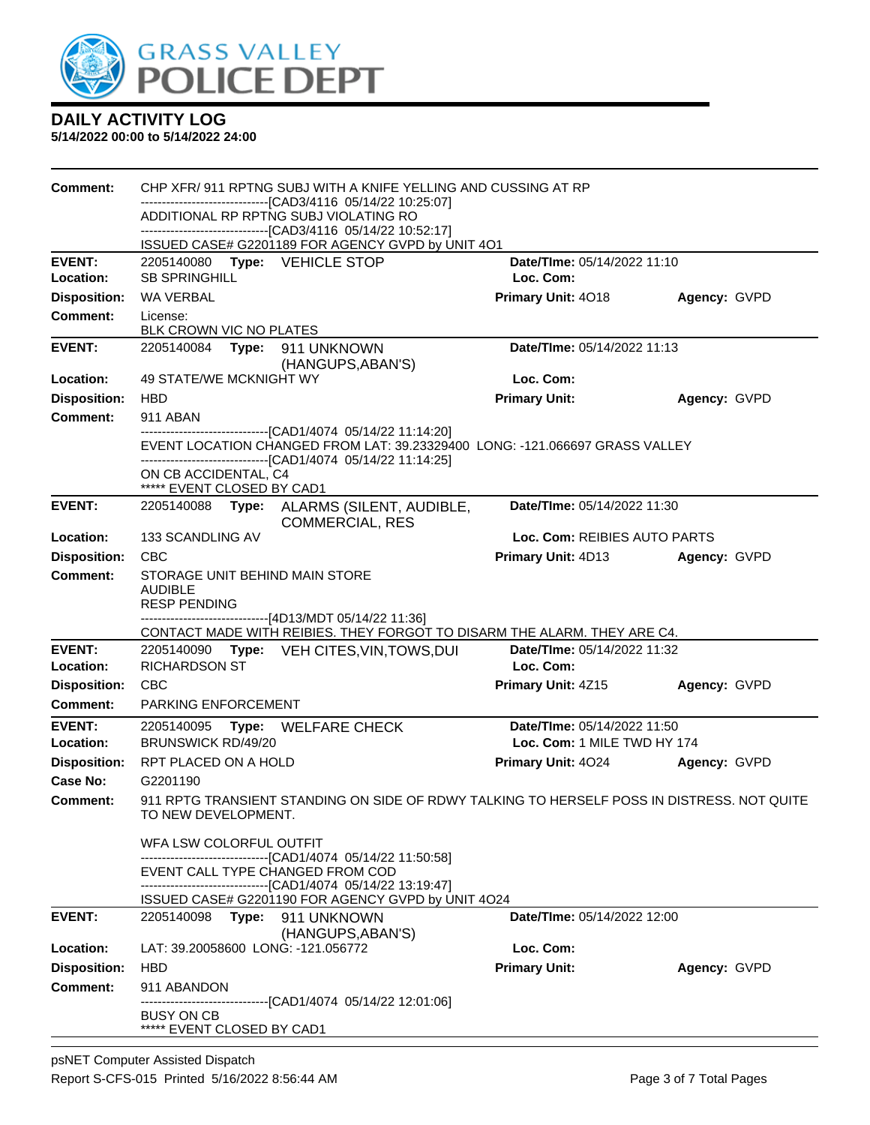

| Comment:            | CHP XFR/ 911 RPTNG SUBJ WITH A KNIFE YELLING AND CUSSING AT RP                                                                              |                                    |              |  |  |
|---------------------|---------------------------------------------------------------------------------------------------------------------------------------------|------------------------------------|--------------|--|--|
|                     | --------------------------[CAD3/4116 05/14/22 10:25:07]<br>ADDITIONAL RP RPTNG SUBJ VIOLATING RO                                            |                                    |              |  |  |
|                     | --------------------------------[CAD3/4116 05/14/22 10:52:17]                                                                               |                                    |              |  |  |
|                     | ISSUED CASE# G2201189 FOR AGENCY GVPD by UNIT 4O1                                                                                           |                                    |              |  |  |
| <b>EVENT:</b>       | 2205140080 Type: VEHICLE STOP                                                                                                               | Date/TIme: 05/14/2022 11:10        |              |  |  |
| Location:           | <b>SB SPRINGHILL</b>                                                                                                                        | Loc. Com:                          |              |  |  |
| <b>Disposition:</b> | <b>WA VERBAL</b>                                                                                                                            | Primary Unit: 4018                 | Agency: GVPD |  |  |
| <b>Comment:</b>     | License:<br>BLK CROWN VIC NO PLATES                                                                                                         |                                    |              |  |  |
| <b>EVENT:</b>       | 2205140084    Type: 911    UNKNOWN<br>(HANGUPS, ABAN'S)                                                                                     | Date/TIme: 05/14/2022 11:13        |              |  |  |
| Location:           | 49 STATE/WE MCKNIGHT WY                                                                                                                     | Loc. Com:                          |              |  |  |
| <b>Disposition:</b> | <b>HBD</b>                                                                                                                                  | <b>Primary Unit:</b>               | Agency: GVPD |  |  |
| <b>Comment:</b>     | 911 ABAN                                                                                                                                    |                                    |              |  |  |
|                     | -------------------------------[CAD1/4074_05/14/22_11:14:20]<br>EVENT LOCATION CHANGED FROM LAT: 39.23329400 LONG: -121.066697 GRASS VALLEY |                                    |              |  |  |
|                     | ------------------------------[CAD1/4074_05/14/22 11:14:25]<br>ON CB ACCIDENTAL, C4<br>***** EVENT CLOSED BY CAD1                           |                                    |              |  |  |
| <b>EVENT:</b>       | 2205140088 Type: ALARMS (SILENT, AUDIBLE,<br><b>COMMERCIAL, RES</b>                                                                         | Date/TIme: 05/14/2022 11:30        |              |  |  |
| <b>Location:</b>    | 133 SCANDLING AV                                                                                                                            | Loc. Com: REIBIES AUTO PARTS       |              |  |  |
| <b>Disposition:</b> | <b>CBC</b>                                                                                                                                  | Primary Unit: 4D13                 | Agency: GVPD |  |  |
| Comment:            | STORAGE UNIT BEHIND MAIN STORE<br><b>AUDIBLE</b><br><b>RESP PENDING</b>                                                                     |                                    |              |  |  |
|                     | -------------------------------[4D13/MDT 05/14/22 11:36]<br>CONTACT MADE WITH REIBIES. THEY FORGOT TO DISARM THE ALARM. THEY ARE C4.        |                                    |              |  |  |
| <b>EVENT:</b>       | 2205140090 Type: VEH CITES, VIN, TOWS, DUI                                                                                                  | Date/TIme: 05/14/2022 11:32        |              |  |  |
| Location:           | <b>RICHARDSON ST</b>                                                                                                                        | Loc. Com:                          |              |  |  |
| <b>Disposition:</b> | <b>CBC</b>                                                                                                                                  | Primary Unit: 4Z15                 | Agency: GVPD |  |  |
| <b>Comment:</b>     | <b>PARKING ENFORCEMENT</b>                                                                                                                  |                                    |              |  |  |
| <b>EVENT:</b>       | 2205140095 Type: WELFARE CHECK                                                                                                              | Date/TIme: 05/14/2022 11:50        |              |  |  |
| Location:           | <b>BRUNSWICK RD/49/20</b>                                                                                                                   | Loc. Com: 1 MILE TWD HY 174        |              |  |  |
| <b>Disposition:</b> | RPT PLACED ON A HOLD                                                                                                                        | Primary Unit: 4024                 | Agency: GVPD |  |  |
| Case No:            | G2201190                                                                                                                                    |                                    |              |  |  |
| <b>Comment:</b>     | 911 RPTG TRANSIENT STANDING ON SIDE OF RDWY TALKING TO HERSELF POSS IN DISTRESS. NOT QUITE<br>TO NEW DEVELOPMENT.                           |                                    |              |  |  |
|                     | WFA LSW COLORFUL OUTFIT                                                                                                                     |                                    |              |  |  |
|                     | ------------------------------[CAD1/4074_05/14/22 11:50:58]                                                                                 |                                    |              |  |  |
|                     | EVENT CALL TYPE CHANGED FROM COD<br>-------------------------------[CAD1/4074_05/14/22 13:19:47]                                            |                                    |              |  |  |
|                     | ISSUED CASE# G2201190 FOR AGENCY GVPD by UNIT 4O24                                                                                          |                                    |              |  |  |
| <b>EVENT:</b>       | 2205140098<br>Type: 911 UNKNOWN<br>(HANGUPS, ABAN'S)                                                                                        | <b>Date/Time: 05/14/2022 12:00</b> |              |  |  |
| <b>Location:</b>    | LAT: 39.20058600 LONG: -121.056772                                                                                                          | Loc. Com:                          |              |  |  |
| <b>Disposition:</b> | <b>HBD</b>                                                                                                                                  | <b>Primary Unit:</b>               | Agency: GVPD |  |  |
| <b>Comment:</b>     | 911 ABANDON                                                                                                                                 |                                    |              |  |  |
|                     | -------------------------------[CAD1/4074_05/14/22 12:01:06]<br><b>BUSY ON CB</b><br>***** EVENT CLOSED BY CAD1                             |                                    |              |  |  |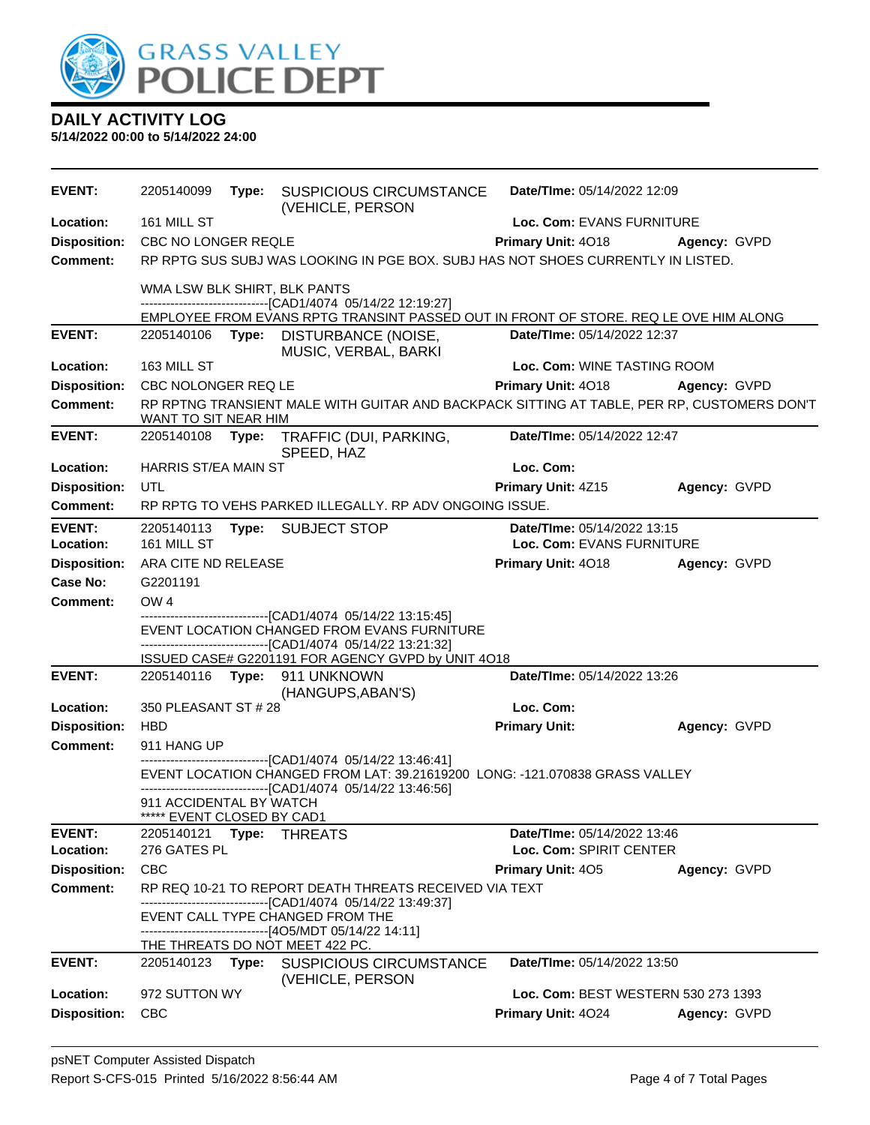

| <b>EVENT:</b>       | 2205140099                                                                                                                           |       | Type: SUSPICIOUS CIRCUMSTANCE<br>(VEHICLE, PERSON                                               | Date/TIme: 05/14/2022 12:09         |              |
|---------------------|--------------------------------------------------------------------------------------------------------------------------------------|-------|-------------------------------------------------------------------------------------------------|-------------------------------------|--------------|
| Location:           | 161 MILL ST                                                                                                                          |       |                                                                                                 | Loc. Com: EVANS FURNITURE           |              |
| <b>Disposition:</b> | CBC NO LONGER REQLE                                                                                                                  |       |                                                                                                 | Primary Unit: 4018<br>Agency: GVPD  |              |
| <b>Comment:</b>     | RP RPTG SUS SUBJ WAS LOOKING IN PGE BOX. SUBJ HAS NOT SHOES CURRENTLY IN LISTED.                                                     |       |                                                                                                 |                                     |              |
|                     | WMA LSW BLK SHIRT, BLK PANTS<br>---------------------------[CAD1/4074_05/14/22 12:19:27]                                             |       |                                                                                                 |                                     |              |
|                     |                                                                                                                                      |       | EMPLOYEE FROM EVANS RPTG TRANSINT PASSED OUT IN FRONT OF STORE. REQ LE OVE HIM ALONG            |                                     |              |
| <b>EVENT:</b>       | 2205140106                                                                                                                           |       | Type: DISTURBANCE (NOISE,<br>MUSIC, VERBAL, BARKI                                               | Date/TIme: 05/14/2022 12:37         |              |
| Location:           | 163 MILL ST                                                                                                                          |       |                                                                                                 | Loc. Com: WINE TASTING ROOM         |              |
| <b>Disposition:</b> | CBC NOLONGER REQ LE                                                                                                                  |       |                                                                                                 | Primary Unit: 4018                  | Agency: GVPD |
| <b>Comment:</b>     | RP RPTNG TRANSIENT MALE WITH GUITAR AND BACKPACK SITTING AT TABLE, PER RP, CUSTOMERS DON'T<br>WANT TO SIT NEAR HIM                   |       |                                                                                                 |                                     |              |
| <b>EVENT:</b>       | 2205140108                                                                                                                           | Type: | TRAFFIC (DUI, PARKING,<br>SPEED, HAZ                                                            | Date/TIme: 05/14/2022 12:47         |              |
| Location:           | <b>HARRIS ST/EA MAIN ST</b>                                                                                                          |       |                                                                                                 | Loc. Com:                           |              |
| <b>Disposition:</b> | UTL                                                                                                                                  |       |                                                                                                 | Primary Unit: 4Z15                  | Agency: GVPD |
| <b>Comment:</b>     |                                                                                                                                      |       | RP RPTG TO VEHS PARKED ILLEGALLY. RP ADV ONGOING ISSUE.                                         |                                     |              |
| <b>EVENT:</b>       |                                                                                                                                      |       | 2205140113 Type: SUBJECT STOP                                                                   | Date/TIme: 05/14/2022 13:15         |              |
| Location:           | 161 MILL ST                                                                                                                          |       |                                                                                                 | Loc. Com: EVANS FURNITURE           |              |
| <b>Disposition:</b> | ARA CITE ND RELEASE                                                                                                                  |       |                                                                                                 | Primary Unit: 4018                  | Agency: GVPD |
| Case No:            | G2201191                                                                                                                             |       |                                                                                                 |                                     |              |
| <b>Comment:</b>     | OW <sub>4</sub>                                                                                                                      |       |                                                                                                 |                                     |              |
|                     | ------------------------------[CAD1/4074 05/14/22 13:15:45]<br>EVENT LOCATION CHANGED FROM EVANS FURNITURE                           |       |                                                                                                 |                                     |              |
|                     |                                                                                                                                      |       | -----------------------[CAD1/4074 05/14/22 13:21:32]                                            |                                     |              |
| <b>EVENT:</b>       |                                                                                                                                      |       | ISSUED CASE# G2201191 FOR AGENCY GVPD by UNIT 4O18<br>2205140116 Type: 911 UNKNOWN              | Date/TIme: 05/14/2022 13:26         |              |
|                     |                                                                                                                                      |       | (HANGUPS, ABAN'S)                                                                               |                                     |              |
| Location:           | 350 PLEASANT ST # 28                                                                                                                 |       |                                                                                                 | Loc. Com:                           |              |
| <b>Disposition:</b> | <b>HBD</b>                                                                                                                           |       |                                                                                                 | <b>Primary Unit:</b>                | Agency: GVPD |
| <b>Comment:</b>     | 911 HANG UP                                                                                                                          |       |                                                                                                 |                                     |              |
|                     | ------------------------[CAD1/4074 05/14/22 13:46:41]<br>EVENT LOCATION CHANGED FROM LAT: 39.21619200 LONG: -121.070838 GRASS VALLEY |       |                                                                                                 |                                     |              |
|                     |                                                                                                                                      |       | -------------------------------[CAD1/4074_05/14/22 13:46:56]                                    |                                     |              |
|                     | 911 ACCIDENTAL BY WATCH<br>***** EVENT CLOSED BY CAD1                                                                                |       |                                                                                                 |                                     |              |
| <b>EVENT:</b>       | 2205140121 Type: THREATS                                                                                                             |       |                                                                                                 | Date/TIme: 05/14/2022 13:46         |              |
| Location:           | 276 GATES PL                                                                                                                         |       |                                                                                                 | Loc. Com: SPIRIT CENTER             |              |
| <b>Disposition:</b> | <b>CBC</b>                                                                                                                           |       |                                                                                                 | Primary Unit: 405                   | Agency: GVPD |
| <b>Comment:</b>     |                                                                                                                                      |       | RP REQ 10-21 TO REPORT DEATH THREATS RECEIVED VIA TEXT                                          |                                     |              |
|                     |                                                                                                                                      |       | ------------------------------[CAD1/4074_05/14/22_13:49:37]<br>EVENT CALL TYPE CHANGED FROM THE |                                     |              |
|                     |                                                                                                                                      |       | -------------------------------[4O5/MDT 05/14/22 14:11]                                         |                                     |              |
|                     |                                                                                                                                      |       | <u>THE THREATS DO NOT MEET 422 PC.</u>                                                          |                                     |              |
| <b>EVENT:</b>       |                                                                                                                                      |       | 2205140123 Type: SUSPICIOUS CIRCUMSTANCE<br>(VEHICLE, PERSON                                    | Date/TIme: 05/14/2022 13:50         |              |
| Location:           | 972 SUTTON WY                                                                                                                        |       |                                                                                                 | Loc. Com: BEST WESTERN 530 273 1393 |              |
| <b>Disposition:</b> | <b>CBC</b>                                                                                                                           |       |                                                                                                 | Primary Unit: 4024                  | Agency: GVPD |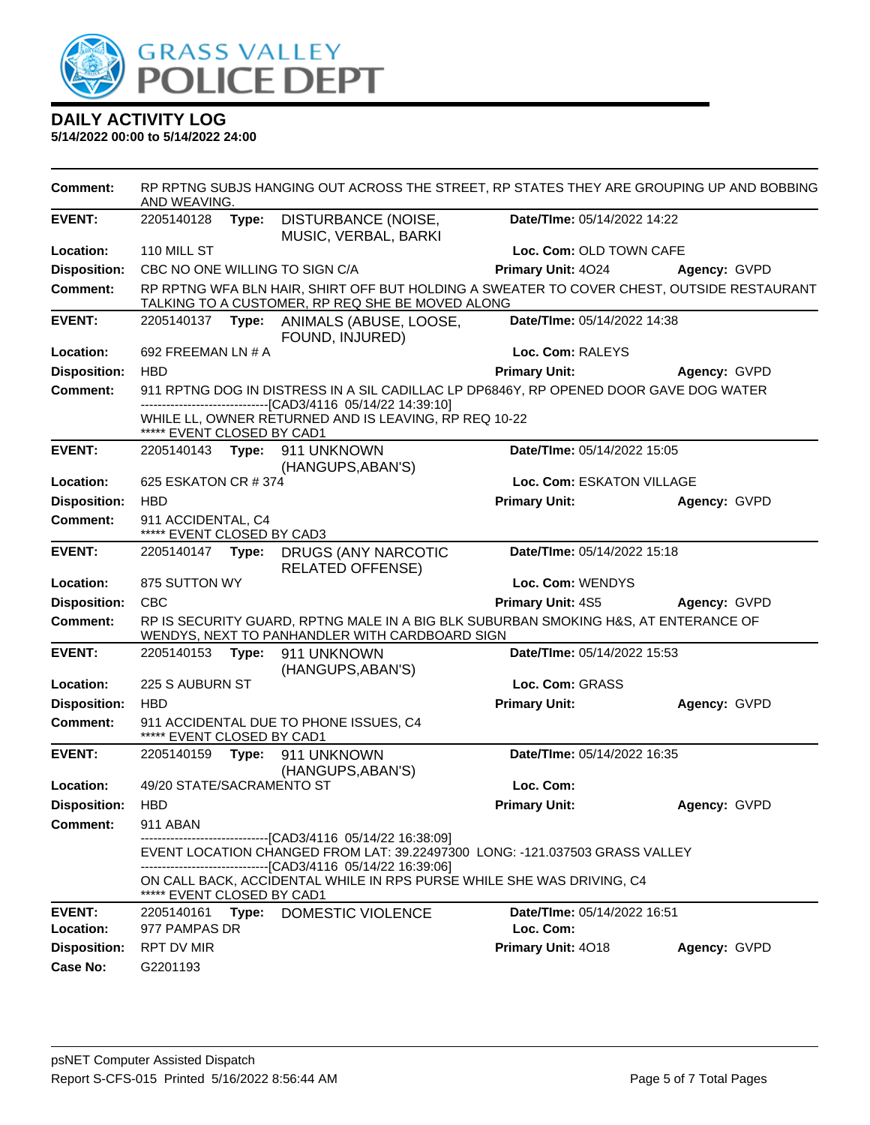

**5/14/2022 00:00 to 5/14/2022 24:00**

**Comment:** RP RPTNG SUBJS HANGING OUT ACROSS THE STREET, RP STATES THEY ARE GROUPING UP AND BOBBING AND WEAVING. **EVENT:** 2205140128 **Type:** DISTURBANCE (NOISE, MUSIC, VERBAL, BARKI **Date/TIme:** 05/14/2022 14:22 **Location:** 110 MILL ST **Loc. Com:** OLD TOWN CAFE **Disposition:** CBC NO ONE WILLING TO SIGN C/A **Primary Unit:** 4O24 **Agency:** GVPD **Comment:** RP RPTNG WFA BLN HAIR, SHIRT OFF BUT HOLDING A SWEATER TO COVER CHEST, OUTSIDE RESTAURANT TALKING TO A CUSTOMER, RP REQ SHE BE MOVED ALONG **EVENT:** 2205140137 **Type:** ANIMALS (ABUSE, LOOSE, FOUND, INJURED) **Date/TIme:** 05/14/2022 14:38 **Location:** 692 FREEMAN LN # A **Loc. Com:** RALEYS **Disposition:** HBD **Primary Unit: Agency:** GVPD **Comment:** 911 RPTNG DOG IN DISTRESS IN A SIL CADILLAC LP DP6846Y, RP OPENED DOOR GAVE DOG WATER ------------------------------[CAD3/4116 05/14/22 14:39:10] WHILE LL, OWNER RETURNED AND IS LEAVING, RP REQ 10-22 \*\*\*\*\*<u>\* EVENT CLOSED BY CAD1</u> **EVENT:** 2205140143 **Type:** 911 UNKNOWN (HANGUPS,ABAN'S) **Date/TIme:** 05/14/2022 15:05 **Location:** 625 ESKATON CR # 374 **Loc. Com:** ESKATON VILLAGE **Disposition:** HBD **Primary Unit: Agency:** GVPD **Comment:** 911 ACCIDENTAL, C4 \*\*\*\*\* EVENT CLOSED BY CAD3 **EVENT:** 2205140147 **Type:** DRUGS (ANY NARCOTIC RELATED OFFENSE) **Date/TIme:** 05/14/2022 15:18 **Location:** 875 SUTTON WY **Loc. Com:** WENDYS **Disposition:** CBC **Primary Unit:** 4S5 **Agency:** GVPD **Comment:** RP IS SECURITY GUARD, RPTNG MALE IN A BIG BLK SUBURBAN SMOKING H&S, AT ENTERANCE OF WENDYS, NEXT TO PANHANDLER WITH CARDBOARD SIGN **EVENT:** 2205140153 **Type:** 911 UNKNOWN (HANGUPS,ABAN'S) **Date/TIme:** 05/14/2022 15:53 **Location:** 225 S AUBURN ST **Loc. Com:** GRASS **Disposition:** HBD **Primary Unit: Agency:** GVPD **Comment:** 911 ACCIDENTAL DUE TO PHONE ISSUES, C4 \*\*\*\*\* EVENT CLOSED BY CAD1 **EVENT:** 2205140159 **Type:** 911 UNKNOWN (HANGUPS,ABAN'S) **Date/TIme:** 05/14/2022 16:35 **Location:** 49/20 STATE/SACRAMENTO ST **Loc. Com: Disposition:** HBD **Primary Unit: Agency:** GVPD **Comment:** 911 ABAN ------------------------------[CAD3/4116 05/14/22 16:38:09] EVENT LOCATION CHANGED FROM LAT: 39.22497300 LONG: -121.037503 GRASS VALLEY ------------------------------[CAD3/4116 05/14/22 16:39:06] ON CALL BACK, ACCIDENTAL WHILE IN RPS PURSE WHILE SHE WAS DRIVING, C4 \*\*\*\*\* EVENT CLOSED BY CAD1 **EVENT:** 2205140161 **Type:** DOMESTIC VIOLENCE **Date/TIme:** 05/14/2022 16:51 **Location:** 977 PAMPAS DR **Loc. Com: Disposition:** RPT DV MIR **Primary Unit:** 4O18 **Agency:** GVPD **Case No:** G2201193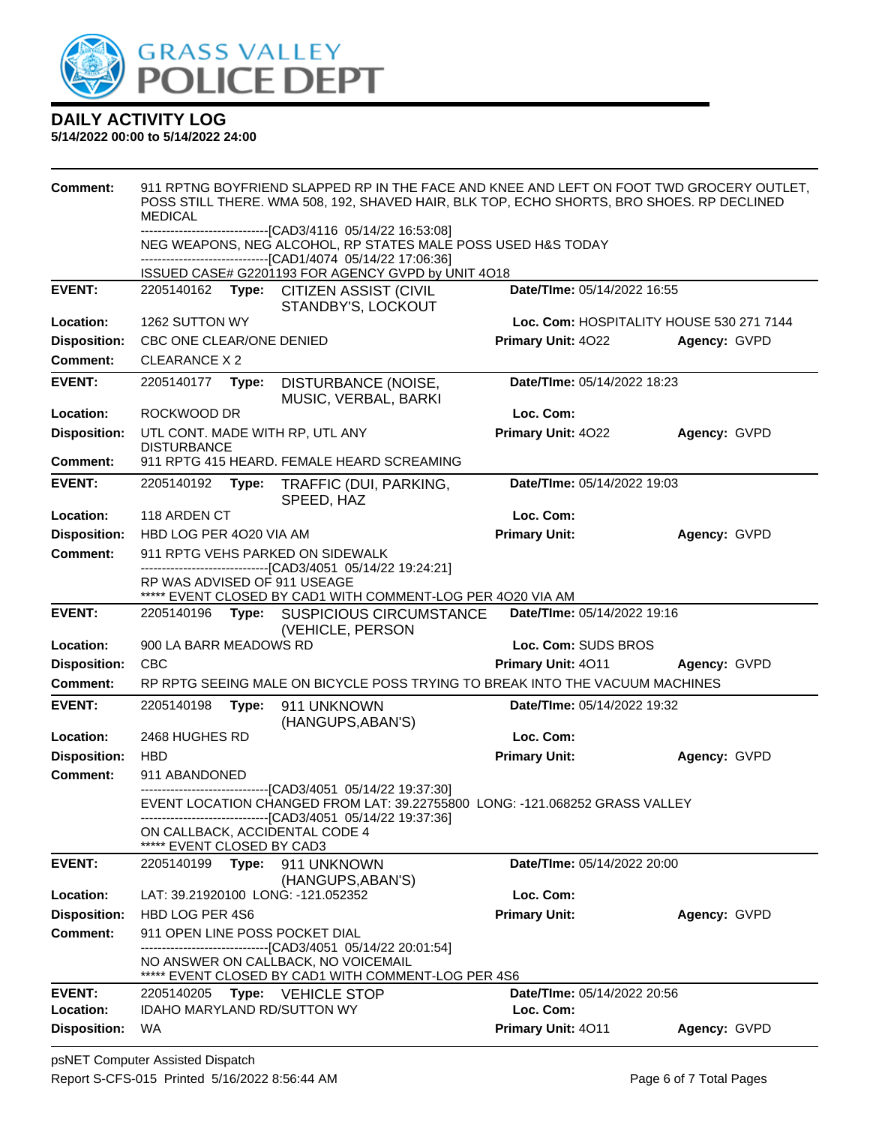

| <b>Comment:</b>     | 911 RPTNG BOYFRIEND SLAPPED RP IN THE FACE AND KNEE AND LEFT ON FOOT TWD GROCERY OUTLET,<br>POSS STILL THERE. WMA 508, 192, SHAVED HAIR, BLK TOP, ECHO SHORTS, BRO SHOES. RP DECLINED<br><b>MEDICAL</b><br>---------------------------------[CAD3/4116 05/14/22 16:53:08]<br>NEG WEAPONS, NEG ALCOHOL, RP STATES MALE POSS USED H&S TODAY<br>-------------------------------[CAD1/4074 05/14/22 17:06:36] |       |                                                                                                                                                                                            |                                    |                                          |
|---------------------|-----------------------------------------------------------------------------------------------------------------------------------------------------------------------------------------------------------------------------------------------------------------------------------------------------------------------------------------------------------------------------------------------------------|-------|--------------------------------------------------------------------------------------------------------------------------------------------------------------------------------------------|------------------------------------|------------------------------------------|
|                     |                                                                                                                                                                                                                                                                                                                                                                                                           |       |                                                                                                                                                                                            |                                    |                                          |
|                     |                                                                                                                                                                                                                                                                                                                                                                                                           |       | ISSUED CASE# G2201193 FOR AGENCY GVPD by UNIT 4O18                                                                                                                                         |                                    |                                          |
| <b>EVENT:</b>       |                                                                                                                                                                                                                                                                                                                                                                                                           |       | 2205140162 Type: CITIZEN ASSIST (CIVIL<br>STANDBY'S, LOCKOUT                                                                                                                               | Date/TIme: 05/14/2022 16:55        |                                          |
| Location:           | 1262 SUTTON WY                                                                                                                                                                                                                                                                                                                                                                                            |       |                                                                                                                                                                                            |                                    | Loc. Com: HOSPITALITY HOUSE 530 271 7144 |
| <b>Disposition:</b> | CBC ONE CLEAR/ONE DENIED                                                                                                                                                                                                                                                                                                                                                                                  |       |                                                                                                                                                                                            | Primary Unit: 4022                 | Agency: GVPD                             |
| <b>Comment:</b>     | CLEARANCE X 2                                                                                                                                                                                                                                                                                                                                                                                             |       |                                                                                                                                                                                            |                                    |                                          |
| <b>EVENT:</b>       | 2205140177                                                                                                                                                                                                                                                                                                                                                                                                | Type: | DISTURBANCE (NOISE,<br>MUSIC, VERBAL, BARKI                                                                                                                                                | Date/TIme: 05/14/2022 18:23        |                                          |
| Location:           | ROCKWOOD DR                                                                                                                                                                                                                                                                                                                                                                                               |       |                                                                                                                                                                                            | Loc. Com:                          |                                          |
| <b>Disposition:</b> | <b>DISTURBANCE</b>                                                                                                                                                                                                                                                                                                                                                                                        |       | UTL CONT. MADE WITH RP, UTL ANY                                                                                                                                                            | Primary Unit: 4022                 | Agency: GVPD                             |
| Comment:            |                                                                                                                                                                                                                                                                                                                                                                                                           |       | 911 RPTG 415 HEARD. FEMALE HEARD SCREAMING                                                                                                                                                 |                                    |                                          |
| <b>EVENT:</b>       | 2205140192                                                                                                                                                                                                                                                                                                                                                                                                | Type: | TRAFFIC (DUI, PARKING,<br>SPEED, HAZ                                                                                                                                                       | Date/TIme: 05/14/2022 19:03        |                                          |
| Location:           | 118 ARDEN CT                                                                                                                                                                                                                                                                                                                                                                                              |       |                                                                                                                                                                                            | Loc. Com:                          |                                          |
| <b>Disposition:</b> | HBD LOG PER 4020 VIA AM                                                                                                                                                                                                                                                                                                                                                                                   |       |                                                                                                                                                                                            | <b>Primary Unit:</b>               | Agency: GVPD                             |
| <b>Comment:</b>     | 911 RPTG VEHS PARKED ON SIDEWALK<br>-------------------------------[CAD3/4051 05/14/22 19:24:21]                                                                                                                                                                                                                                                                                                          |       |                                                                                                                                                                                            |                                    |                                          |
|                     | RP WAS ADVISED OF 911 USEAGE                                                                                                                                                                                                                                                                                                                                                                              |       | ***** EVENT CLOSED BY CAD1 WITH COMMENT-LOG PER 4020 VIA AM                                                                                                                                |                                    |                                          |
| <b>EVENT:</b>       | 2205140196                                                                                                                                                                                                                                                                                                                                                                                                |       | Type: SUSPICIOUS CIRCUMSTANCE<br>(VEHICLE, PERSON                                                                                                                                          | Date/TIme: 05/14/2022 19:16        |                                          |
| Location:           | 900 LA BARR MEADOWS RD                                                                                                                                                                                                                                                                                                                                                                                    |       |                                                                                                                                                                                            | Loc. Com: SUDS BROS                |                                          |
| <b>Disposition:</b> | <b>CBC</b>                                                                                                                                                                                                                                                                                                                                                                                                |       |                                                                                                                                                                                            | Primary Unit: 4011                 | Agency: GVPD                             |
| <b>Comment:</b>     | RP RPTG SEEING MALE ON BICYCLE POSS TRYING TO BREAK INTO THE VACUUM MACHINES                                                                                                                                                                                                                                                                                                                              |       |                                                                                                                                                                                            |                                    |                                          |
| <b>EVENT:</b>       | 2205140198                                                                                                                                                                                                                                                                                                                                                                                                | Type: | 911 UNKNOWN<br>(HANGUPS, ABAN'S)                                                                                                                                                           | Date/TIme: 05/14/2022 19:32        |                                          |
| Location:           | 2468 HUGHES RD                                                                                                                                                                                                                                                                                                                                                                                            |       |                                                                                                                                                                                            | Loc. Com:                          |                                          |
| <b>Disposition:</b> | <b>HBD</b>                                                                                                                                                                                                                                                                                                                                                                                                |       |                                                                                                                                                                                            | <b>Primary Unit:</b>               | Agency: GVPD                             |
| Comment:            | 911 ABANDONED                                                                                                                                                                                                                                                                                                                                                                                             |       |                                                                                                                                                                                            |                                    |                                          |
|                     |                                                                                                                                                                                                                                                                                                                                                                                                           |       | --------------------------[CAD3/4051_05/14/22 19:37:30]<br>EVENT LOCATION CHANGED FROM LAT: 39.22755800 LONG: -121.068252 GRASS VALLEY<br>-------------------[CAD3/4051 05/14/22 19:37:36] |                                    |                                          |
|                     | ***** EVENT CLOSED BY CAD3                                                                                                                                                                                                                                                                                                                                                                                |       | ON CALLBACK, ACCIDENTAL CODE 4                                                                                                                                                             |                                    |                                          |
| <b>EVENT:</b>       | 2205140199                                                                                                                                                                                                                                                                                                                                                                                                | Type: | 911 UNKNOWN<br>(HANGUPS, ABAN'S)                                                                                                                                                           | <b>Date/TIme: 05/14/2022 20:00</b> |                                          |
| Location:           |                                                                                                                                                                                                                                                                                                                                                                                                           |       | LAT: 39.21920100 LONG: -121.052352                                                                                                                                                         | Loc. Com:                          |                                          |
| <b>Disposition:</b> | HBD LOG PER 4S6                                                                                                                                                                                                                                                                                                                                                                                           |       |                                                                                                                                                                                            | <b>Primary Unit:</b>               | Agency: GVPD                             |
| <b>Comment:</b>     |                                                                                                                                                                                                                                                                                                                                                                                                           |       | 911 OPEN LINE POSS POCKET DIAL                                                                                                                                                             |                                    |                                          |
|                     |                                                                                                                                                                                                                                                                                                                                                                                                           |       | ----------------------[CAD3/4051_05/14/22 20:01:54]<br>NO ANSWER ON CALLBACK, NO VOICEMAIL<br>***** EVENT CLOSED BY CAD1 WITH COMMENT-LOG PER 4S6                                          |                                    |                                          |
| <b>EVENT:</b>       | 2205140205                                                                                                                                                                                                                                                                                                                                                                                                |       | Type: VEHICLE STOP                                                                                                                                                                         | Date/TIme: 05/14/2022 20:56        |                                          |
| Location:           |                                                                                                                                                                                                                                                                                                                                                                                                           |       | <b>IDAHO MARYLAND RD/SUTTON WY</b>                                                                                                                                                         | Loc. Com:                          |                                          |
| <b>Disposition:</b> | <b>WA</b>                                                                                                                                                                                                                                                                                                                                                                                                 |       |                                                                                                                                                                                            | Primary Unit: 4011                 | Agency: GVPD                             |